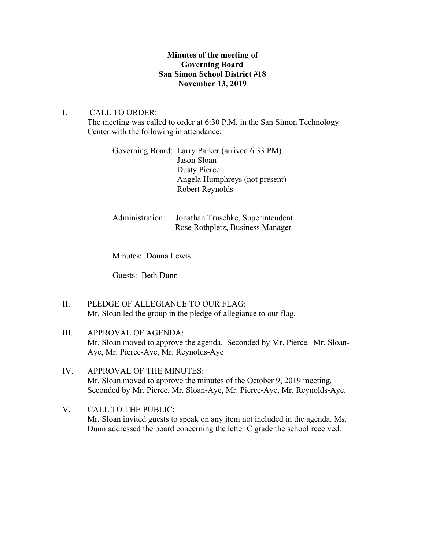## **Minutes of the meeting of Governing Board San Simon School District #18 November 13, 2019**

## I. CALL TO ORDER:

The meeting was called to order at 6:30 P.M. in the San Simon Technology Center with the following in attendance:

| Governing Board: Larry Parker (arrived 6:33 PM) |
|-------------------------------------------------|
| Jason Sloan                                     |
| Dusty Pierce                                    |
| Angela Humphreys (not present)                  |
| Robert Reynolds                                 |
|                                                 |

| Administration: Jonathan Truschke, Superintendent |
|---------------------------------------------------|
| Rose Rothpletz, Business Manager                  |

Minutes: Donna Lewis

Guests: Beth Dunn

II. PLEDGE OF ALLEGIANCE TO OUR FLAG: Mr. Sloan led the group in the pledge of allegiance to our flag.

# III. APPROVAL OF AGENDA: Mr. Sloan moved to approve the agenda. Seconded by Mr. Pierce. Mr. Sloan-Aye, Mr. Pierce-Aye, Mr. Reynolds-Aye

## IV. APPROVAL OF THE MINUTES: Mr. Sloan moved to approve the minutes of the October 9, 2019 meeting. Seconded by Mr. Pierce. Mr. Sloan-Aye, Mr. Pierce-Aye, Mr. Reynolds-Aye.

V. CALL TO THE PUBLIC: Mr. Sloan invited guests to speak on any item not included in the agenda. Ms. Dunn addressed the board concerning the letter C grade the school received.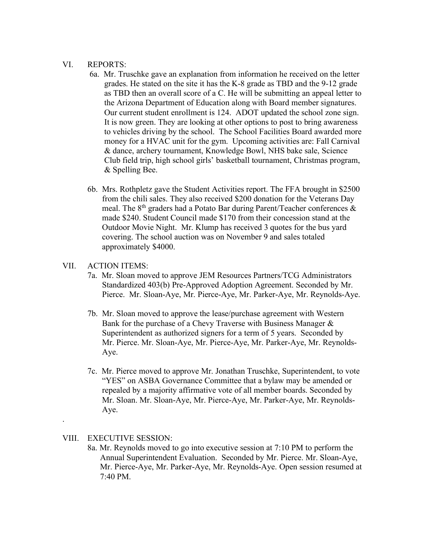#### VI. REPORTS:

- 6a. Mr. Truschke gave an explanation from information he received on the letter grades. He stated on the site it has the K-8 grade as TBD and the 9-12 grade as TBD then an overall score of a C. He will be submitting an appeal letter to the Arizona Department of Education along with Board member signatures. Our current student enrollment is 124. ADOT updated the school zone sign. It is now green. They are looking at other options to post to bring awareness to vehicles driving by the school. The School Facilities Board awarded more money for a HVAC unit for the gym. Upcoming activities are: Fall Carnival & dance, archery tournament, Knowledge Bowl, NHS bake sale, Science Club field trip, high school girls' basketball tournament, Christmas program, & Spelling Bee.
- 6b. Mrs. Rothpletz gave the Student Activities report. The FFA brought in \$2500 from the chili sales. They also received \$200 donation for the Veterans Day meal. The  $8<sup>th</sup>$  graders had a Potato Bar during Parent/Teacher conferences  $\&$  made \$240. Student Council made \$170 from their concession stand at the Outdoor Movie Night. Mr. Klump has received 3 quotes for the bus yard covering. The school auction was on November 9 and sales totaled approximately \$4000.

#### VII. ACTION ITEMS:

- 7a. Mr. Sloan moved to approve JEM Resources Partners/TCG Administrators Standardized 403(b) Pre-Approved Adoption Agreement. Seconded by Mr. Pierce. Mr. Sloan-Aye, Mr. Pierce-Aye, Mr. Parker-Aye, Mr. Reynolds-Aye.
- 7b. Mr. Sloan moved to approve the lease/purchase agreement with Western Bank for the purchase of a Chevy Traverse with Business Manager & Superintendent as authorized signers for a term of 5 years. Seconded by Mr. Pierce. Mr. Sloan-Aye, Mr. Pierce-Aye, Mr. Parker-Aye, Mr. Reynolds- Aye.
- 7c. Mr. Pierce moved to approve Mr. Jonathan Truschke, Superintendent, to vote "YES" on ASBA Governance Committee that a bylaw may be amended or repealed by a majority affirmative vote of all member boards. Seconded by Mr. Sloan. Mr. Sloan-Aye, Mr. Pierce-Aye, Mr. Parker-Aye, Mr. Reynolds- Aye.

### VIII. EXECUTIVE SESSION:

.

8a. Mr. Reynolds moved to go into executive session at 7:10 PM to perform the Annual Superintendent Evaluation. Seconded by Mr. Pierce. Mr. Sloan-Aye, Mr. Pierce-Aye, Mr. Parker-Aye, Mr. Reynolds-Aye. Open session resumed at 7:40 PM.